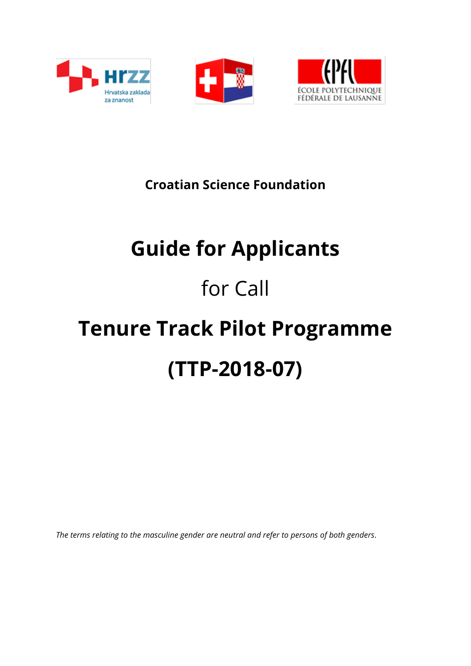





**Croatian Science Foundation**

## **Guide for Applicants**

# for Call

# **Tenure Track Pilot Programme (TTP-2018-07)**

*The terms relating to the masculine gender are neutral and refer to persons of both genders.*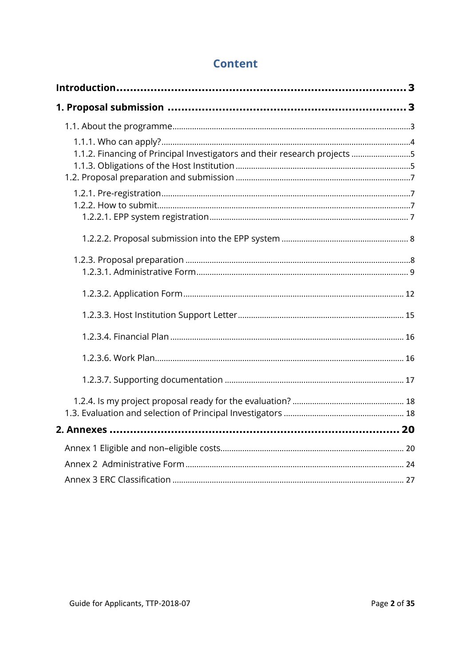## **Content**

| 1.1.2. Financing of Principal Investigators and their research projects 5 |  |
|---------------------------------------------------------------------------|--|
|                                                                           |  |
|                                                                           |  |
|                                                                           |  |
|                                                                           |  |
|                                                                           |  |
|                                                                           |  |
|                                                                           |  |
|                                                                           |  |
|                                                                           |  |
|                                                                           |  |
|                                                                           |  |
|                                                                           |  |
|                                                                           |  |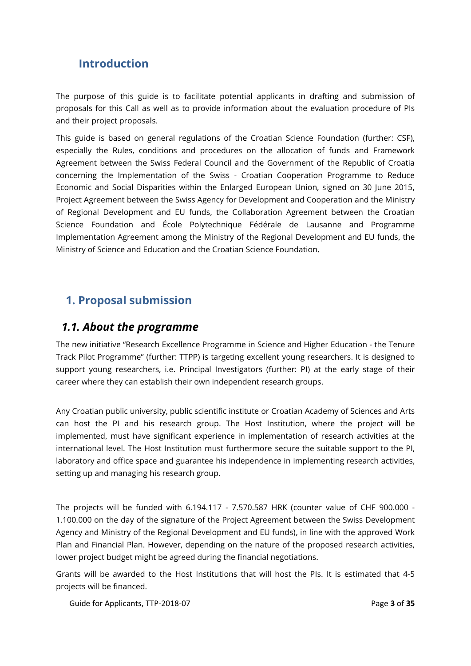## <span id="page-2-0"></span>**Introduction**

The purpose of this guide is to facilitate potential applicants in drafting and submission of proposals for this Call as well as to provide information about the evaluation procedure of PIs and their project proposals.

This guide is based on general regulations of the Croatian Science Foundation (further: CSF), especially the Rules, conditions and procedures on the allocation of funds and Framework Agreement between the Swiss Federal Council and the Government of the Republic of Croatia concerning the Implementation of the Swiss - Croatian Cooperation Programme to Reduce Economic and Social Disparities within the Enlarged European Union, signed on 30 June 2015, Project Agreement between the Swiss Agency for Development and Cooperation and the Ministry of Regional Development and EU funds, the Collaboration Agreement between the Croatian Science Foundation and École Polytechnique Fédérale de Lausanne and Programme Implementation Agreement among the Ministry of the Regional Development and EU funds, the Ministry of Science and Education and the Croatian Science Foundation.

## <span id="page-2-1"></span>**1. Proposal submission**

## <span id="page-2-2"></span>*1.1. About the programme*

The new initiative "Research Excellence Programme in Science and Higher Education - the Tenure Track Pilot Programme" (further: TTPP) is targeting excellent young researchers. It is designed to support young researchers, i.e. Principal Investigators (further: PI) at the early stage of their career where they can establish their own independent research groups.

Any Croatian public university, public scientific institute or Croatian Academy of Sciences and Arts can host the PI and his research group. The Host Institution, where the project will be implemented, must have significant experience in implementation of research activities at the international level. The Host Institution must furthermore secure the suitable support to the PI, laboratory and office space and guarantee his independence in implementing research activities, setting up and managing his research group.

The projects will be funded with 6.194.117 - 7.570.587 HRK (counter value of CHF 900.000 - 1.100.000 on the day of the signature of the Project Agreement between the Swiss Development Agency and Ministry of the Regional Development and EU funds), in line with the approved Work Plan and Financial Plan. However, depending on the nature of the proposed research activities, lower project budget might be agreed during the financial negotiations.

Grants will be awarded to the Host Institutions that will host the PIs. It is estimated that 4-5 projects will be financed.

Guide for Applicants, TTP-2018-07 **Page 3** of **35** Page **3** of **35**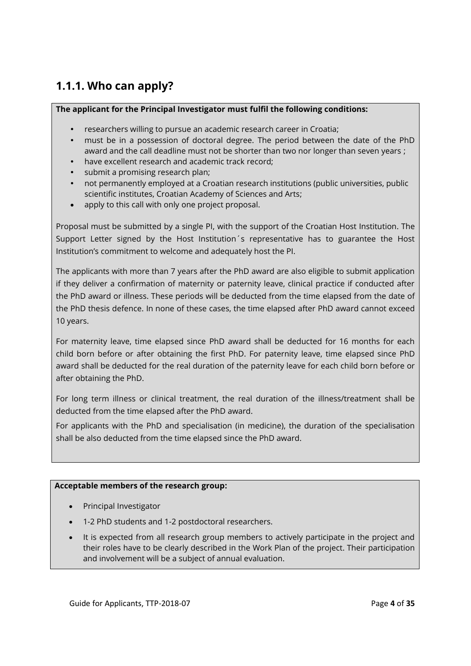## <span id="page-3-0"></span>**1.1.1. Who can apply?**

#### **The applicant for the Principal Investigator must fulfil the following conditions:**

- researchers willing to pursue an academic research career in Croatia;
- must be in a possession of doctoral degree. The period between the date of the PhD award and the call deadline must not be shorter than two nor longer than seven years ;
- have excellent research and academic track record;
- submit a promising research plan;
- not permanently employed at a Croatian research institutions (public universities, public scientific institutes, Croatian Academy of Sciences and Arts;
- apply to this call with only one project proposal.

Proposal must be submitted by a single PI, with the support of the Croatian Host Institution. The Support Letter signed by the Host Institution´s representative has to guarantee the Host Institution's commitment to welcome and adequately host the PI.

The applicants with more than 7 years after the PhD award are also eligible to submit application if they deliver a confirmation of maternity or paternity leave, clinical practice if conducted after the PhD award or illness. These periods will be deducted from the time elapsed from the date of the PhD thesis defence. In none of these cases, the time elapsed after PhD award cannot exceed 10 years.

For maternity leave, time elapsed since PhD award shall be deducted for 16 months for each child born before or after obtaining the first PhD. For paternity leave, time elapsed since PhD award shall be deducted for the real duration of the paternity leave for each child born before or after obtaining the PhD.

For long term illness or clinical treatment, the real duration of the illness/treatment shall be deducted from the time elapsed after the PhD award.

For applicants with the PhD and specialisation (in medicine), the duration of the specialisation shall be also deducted from the time elapsed since the PhD award.

#### **Acceptable members of the research group:**

- Principal Investigator
- 1-2 PhD students and 1-2 postdoctoral researchers.
- It is expected from all research group members to actively participate in the project and their roles have to be clearly described in the Work Plan of the project. Their participation and involvement will be a subject of annual evaluation.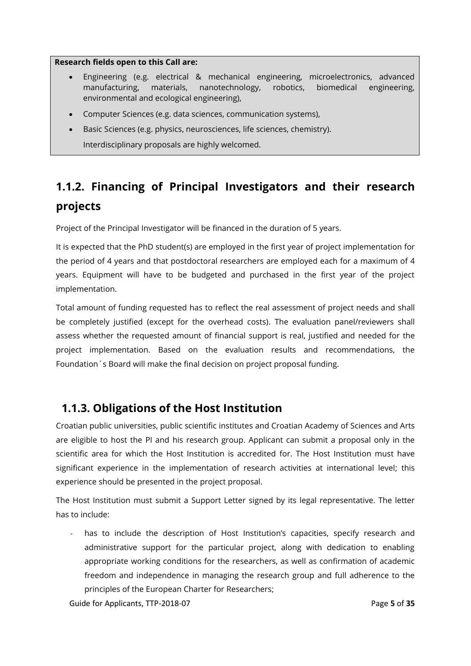#### **Research fields open to this Call are:**

- Engineering (e.g. electrical & mechanical engineering, microelectronics, advanced manufacturing, materials, nanotechnology, robotics, biomedical engineering, environmental and ecological engineering),
- Computer Sciences (e.g. data sciences, communication systems),
- Basic Sciences (e.g. physics, neurosciences, life sciences, chemistry). Interdisciplinary proposals are highly welcomed.

## <span id="page-4-0"></span>**1.1.2. Financing of Principal Investigators and their research projects**

Project of the Principal Investigator will be financed in the duration of 5 years.

It is expected that the PhD student(s) are employed in the first year of project implementation for the period of 4 years and that postdoctoral researchers are employed each for a maximum of 4 years. Equipment will have to be budgeted and purchased in the first year of the project implementation.

Total amount of funding requested has to reflect the real assessment of project needs and shall be completely justified (except for the overhead costs). The evaluation panel/reviewers shall assess whether the requested amount of financial support is real, justified and needed for the project implementation. Based on the evaluation results and recommendations, the Foundation´s Board will make the final decision on project proposal funding.

## <span id="page-4-1"></span>**1.1.3. Obligations of the Host Institution**

Croatian public universities, public scientific institutes and Croatian Academy of Sciences and Arts are eligible to host the PI and his research group. Applicant can submit a proposal only in the scientific area for which the Host Institution is accredited for. The Host Institution must have significant experience in the implementation of research activities at international level; this experience should be presented in the project proposal.

The Host Institution must submit a Support Letter signed by its legal representative. The letter has to include:

has to include the description of Host Institution's capacities, specify research and administrative support for the particular project, along with dedication to enabling appropriate working conditions for the researchers, as well as confirmation of academic freedom and independence in managing the research group and full adherence to the principles of the European Charter for Researchers;

Guide for Applicants, TTP-2018-07 **Page 5** of **35** Page 5 of **35**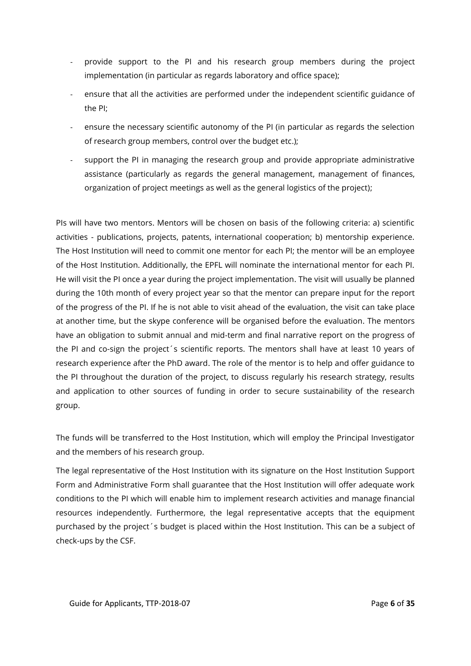- provide support to the PI and his research group members during the project implementation (in particular as regards laboratory and office space);
- ensure that all the activities are performed under the independent scientific guidance of the PI;
- ensure the necessary scientific autonomy of the PI (in particular as regards the selection of research group members, control over the budget etc.);
- support the PI in managing the research group and provide appropriate administrative assistance (particularly as regards the general management, management of finances, organization of project meetings as well as the general logistics of the project);

PIs will have two mentors. Mentors will be chosen on basis of the following criteria: a) scientific activities - publications, projects, patents, international cooperation; b) mentorship experience. The Host Institution will need to commit one mentor for each PI; the mentor will be an employee of the Host Institution. Additionally, the EPFL will nominate the international mentor for each PI. He will visit the PI once a year during the project implementation. The visit will usually be planned during the 10th month of every project year so that the mentor can prepare input for the report of the progress of the PI. If he is not able to visit ahead of the evaluation, the visit can take place at another time, but the skype conference will be organised before the evaluation. The mentors have an obligation to submit annual and mid-term and final narrative report on the progress of the PI and co-sign the project´s scientific reports. The mentors shall have at least 10 years of research experience after the PhD award. The role of the mentor is to help and offer guidance to the PI throughout the duration of the project, to discuss regularly his research strategy, results and application to other sources of funding in order to secure sustainability of the research group.

The funds will be transferred to the Host Institution, which will employ the Principal Investigator and the members of his research group.

The legal representative of the Host Institution with its signature on the Host Institution Support Form and Administrative Form shall guarantee that the Host Institution will offer adequate work conditions to the PI which will enable him to implement research activities and manage financial resources independently. Furthermore, the legal representative accepts that the equipment purchased by the project´s budget is placed within the Host Institution. This can be a subject of check-ups by the CSF.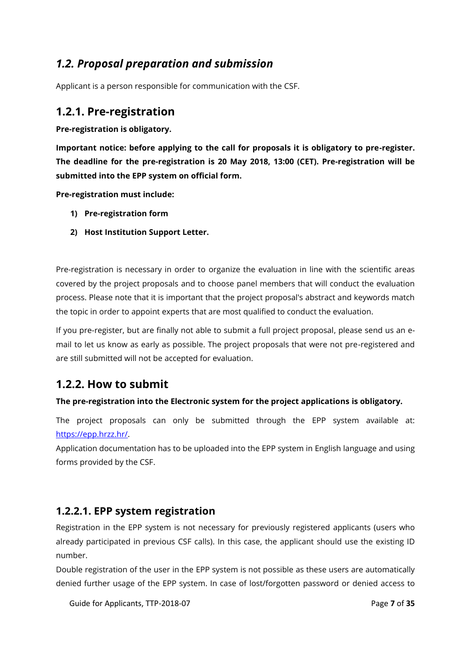## <span id="page-6-0"></span>*1.2. Proposal preparation and submission*

Applicant is a person responsible for communication with the CSF.

## <span id="page-6-1"></span>**1.2.1. Pre-registration**

**Pre-registration is obligatory.**

**Important notice: before applying to the call for proposals it is obligatory to pre-register. The deadline for the pre-registration is 20 May 2018, 13:00 (CET). Pre-registration will be submitted into the EPP system on official form.**

**Pre-registration must include:**

- **1) Pre-registration form**
- **2) Host Institution Support Letter.**

Pre-registration is necessary in order to organize the evaluation in line with the scientific areas covered by the project proposals and to choose panel members that will conduct the evaluation process. Please note that it is important that the project proposal's abstract and keywords match the topic in order to appoint experts that are most qualified to conduct the evaluation.

If you pre-register, but are finally not able to submit a full project proposal, please send us an email to let us know as early as possible. The project proposals that were not pre-registered and are still submitted will not be accepted for evaluation.

## <span id="page-6-2"></span>**1.2.2. How to submit**

## **The pre-registration into the Electronic system for the project applications is obligatory.**

The project proposals can only be submitted through the EPP system available at: [https://epp.hrzz.hr/.](https://epp.hrzz.hr/)

Application documentation has to be uploaded into the EPP system in English language and using forms provided by the CSF.

## <span id="page-6-3"></span>**1.2.2.1. EPP system registration**

Registration in the EPP system is not necessary for previously registered applicants (users who already participated in previous CSF calls). In this case, the applicant should use the existing ID number.

Double registration of the user in the EPP system is not possible as these users are automatically denied further usage of the EPP system. In case of lost/forgotten password or denied access to

Guide for Applicants, TTP-2018-07 **Page 7** of **35** Page 7 of **35**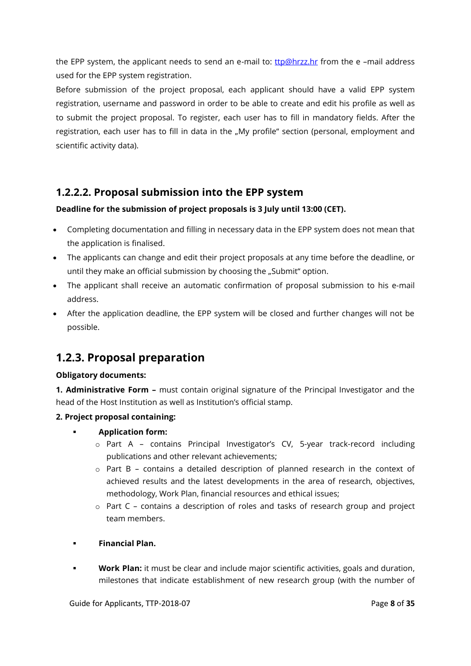the EPP system, the applicant needs to send an e-mail to:  $ttp@hrzz.hr$  $ttp@hrzz.hr$  $ttp@hrzz.hr$  from the e-mail address</u> used for the EPP system registration.

Before submission of the project proposal, each applicant should have a valid EPP system registration, username and password in order to be able to create and edit his profile as well as to submit the project proposal. To register, each user has to fill in mandatory fields. After the registration, each user has to fill in data in the "My profile" section (personal, employment and scientific activity data).

## <span id="page-7-0"></span>**1.2.2.2. Proposal submission into the EPP system**

## **Deadline for the submission of project proposals is 3 July until 13:00 (CET).**

- Completing documentation and filling in necessary data in the EPP system does not mean that the application is finalised.
- The applicants can change and edit their project proposals at any time before the deadline, or until they make an official submission by choosing the "Submit" option.
- The applicant shall receive an automatic confirmation of proposal submission to his e-mail address.
- After the application deadline, the EPP system will be closed and further changes will not be possible.

## <span id="page-7-1"></span>**1.2.3. Proposal preparation**

#### **Obligatory documents:**

**1. Administrative Form –** must contain original signature of the Principal Investigator and the head of the Host Institution as well as Institution's official stamp.

#### **2. Project proposal containing:**

- **Application form:**
	- o Part A contains Principal Investigator's CV, 5-year track-record including publications and other relevant achievements;
	- o Part B contains a detailed description of planned research in the context of achieved results and the latest developments in the area of research, objectives, methodology, Work Plan, financial resources and ethical issues;
	- $\circ$  Part C contains a description of roles and tasks of research group and project team members.
- **Financial Plan.**
- **Work Plan:** it must be clear and include major scientific activities, goals and duration, milestones that indicate establishment of new research group (with the number of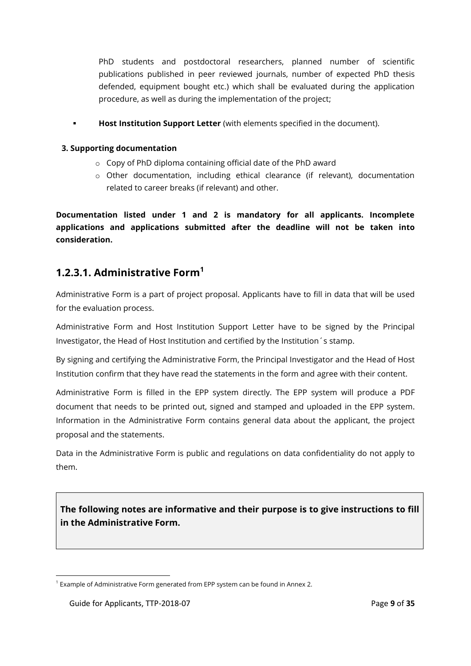PhD students and postdoctoral researchers, planned number of scientific publications published in peer reviewed journals, number of expected PhD thesis defended, equipment bought etc.) which shall be evaluated during the application procedure, as well as during the implementation of the project;

**Host Institution Support Letter** (with elements specified in the document).

## **3. Supporting documentation**

- o Copy of PhD diploma containing official date of the PhD award
- o Other documentation, including ethical clearance (if relevant), documentation related to career breaks (if relevant) and other.

**Documentation listed under 1 and 2 is mandatory for all applicants. Incomplete applications and applications submitted after the deadline will not be taken into consideration.**

## <span id="page-8-0"></span>**1.2.3.1. Administrative Form<sup>1</sup>**

Administrative Form is a part of project proposal. Applicants have to fill in data that will be used for the evaluation process.

Administrative Form and Host Institution Support Letter have to be signed by the Principal Investigator, the Head of Host Institution and certified by the Institution´s stamp.

By signing and certifying the Administrative Form, the Principal Investigator and the Head of Host Institution confirm that they have read the statements in the form and agree with their content.

Administrative Form is filled in the EPP system directly. The EPP system will produce a PDF document that needs to be printed out, signed and stamped and uploaded in the EPP system. Information in the Administrative Form contains general data about the applicant, the project proposal and the statements.

Data in the Administrative Form is public and regulations on data confidentiality do not apply to them.

**The following notes are informative and their purpose is to give instructions to fill in the Administrative Form.**

 $\overline{a}$ <sup>1</sup> Example of Administrative Form generated from EPP system can be found in Annex 2.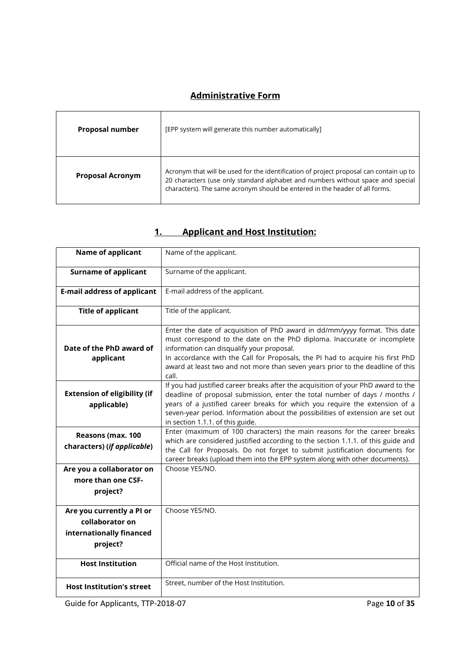## **Administrative Form**

| <b>Proposal number</b>  | [EPP system will generate this number automatically]                                                                                                                                                                                                     |
|-------------------------|----------------------------------------------------------------------------------------------------------------------------------------------------------------------------------------------------------------------------------------------------------|
| <b>Proposal Acronym</b> | Acronym that will be used for the identification of project proposal can contain up to<br>20 characters (use only standard alphabet and numbers without space and special<br>characters). The same acronym should be entered in the header of all forms. |

| Name of applicant                                                                    | Name of the applicant.                                                                                                                                                                                                                                                                                                                                                           |
|--------------------------------------------------------------------------------------|----------------------------------------------------------------------------------------------------------------------------------------------------------------------------------------------------------------------------------------------------------------------------------------------------------------------------------------------------------------------------------|
|                                                                                      |                                                                                                                                                                                                                                                                                                                                                                                  |
| <b>Surname of applicant</b>                                                          | Surname of the applicant.                                                                                                                                                                                                                                                                                                                                                        |
| <b>E-mail address of applicant</b>                                                   | E-mail address of the applicant.                                                                                                                                                                                                                                                                                                                                                 |
| <b>Title of applicant</b>                                                            | Title of the applicant.                                                                                                                                                                                                                                                                                                                                                          |
| Date of the PhD award of<br>applicant                                                | Enter the date of acquisition of PhD award in dd/mm/yyyy format. This date<br>must correspond to the date on the PhD diploma. Inaccurate or incomplete<br>information can disqualify your proposal.<br>In accordance with the Call for Proposals, the PI had to acquire his first PhD<br>award at least two and not more than seven years prior to the deadline of this<br>call. |
| <b>Extension of eligibility (if</b><br>applicable)                                   | If you had justified career breaks after the acquisition of your PhD award to the<br>deadline of proposal submission, enter the total number of days / months /<br>years of a justified career breaks for which you require the extension of a<br>seven-year period. Information about the possibilities of extension are set out<br>in section 1.1.1. of this guide.            |
| Reasons (max. 100<br>characters) (if applicable)                                     | Enter (maximum of 100 characters) the main reasons for the career breaks<br>which are considered justified according to the section 1.1.1. of this guide and<br>the Call for Proposals. Do not forget to submit justification documents for<br>career breaks (upload them into the EPP system along with other documents).                                                       |
| Are you a collaborator on<br>more than one CSF-<br>project?                          | Choose YES/NO.                                                                                                                                                                                                                                                                                                                                                                   |
| Are you currently a PI or<br>collaborator on<br>internationally financed<br>project? | Choose YES/NO.                                                                                                                                                                                                                                                                                                                                                                   |
| <b>Host Institution</b>                                                              | Official name of the Host Institution.                                                                                                                                                                                                                                                                                                                                           |
| <b>Host Institution's street</b>                                                     | Street, number of the Host Institution.                                                                                                                                                                                                                                                                                                                                          |

## **1. Applicant and Host Institution:**

Guide for Applicants, TTP-2018-07 Page 10 of 35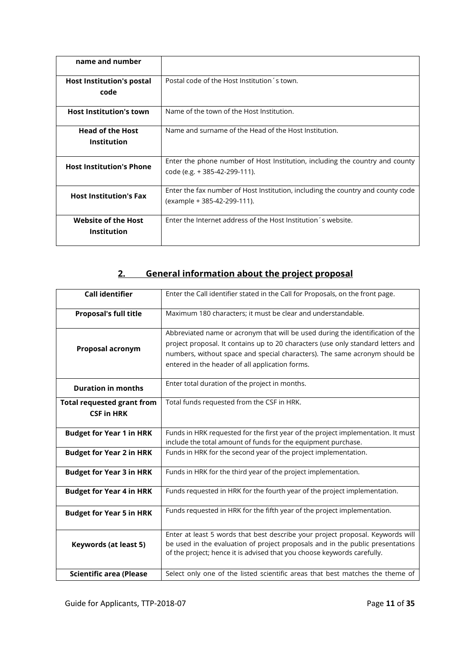| name and number                                  |                                                                                                                |
|--------------------------------------------------|----------------------------------------------------------------------------------------------------------------|
| <b>Host Institution's postal</b><br>code         | Postal code of the Host Institution's town.                                                                    |
| <b>Host Institution's town</b>                   | Name of the town of the Host Institution.                                                                      |
| <b>Head of the Host</b><br><b>Institution</b>    | Name and surname of the Head of the Host Institution.                                                          |
| <b>Host Institution's Phone</b>                  | Enter the phone number of Host Institution, including the country and county<br>code (e.g. + 385-42-299-111).  |
| <b>Host Institution's Fax</b>                    | Enter the fax number of Host Institution, including the country and county code<br>(example + 385-42-299-111). |
| <b>Website of the Host</b><br><b>Institution</b> | Enter the Internet address of the Host Institution's website.                                                  |

## **2. General information about the project proposal**

| <b>Call identifier</b>                                 | Enter the Call identifier stated in the Call for Proposals, on the front page.                                                                                                                                                                                                                      |
|--------------------------------------------------------|-----------------------------------------------------------------------------------------------------------------------------------------------------------------------------------------------------------------------------------------------------------------------------------------------------|
| <b>Proposal's full title</b>                           | Maximum 180 characters; it must be clear and understandable.                                                                                                                                                                                                                                        |
| Proposal acronym                                       | Abbreviated name or acronym that will be used during the identification of the<br>project proposal. It contains up to 20 characters (use only standard letters and<br>numbers, without space and special characters). The same acronym should be<br>entered in the header of all application forms. |
| <b>Duration in months</b>                              | Enter total duration of the project in months.                                                                                                                                                                                                                                                      |
| <b>Total requested grant from</b><br><b>CSF in HRK</b> | Total funds requested from the CSF in HRK.                                                                                                                                                                                                                                                          |
| <b>Budget for Year 1 in HRK</b>                        | Funds in HRK requested for the first year of the project implementation. It must<br>include the total amount of funds for the equipment purchase.                                                                                                                                                   |
| <b>Budget for Year 2 in HRK</b>                        | Funds in HRK for the second year of the project implementation.                                                                                                                                                                                                                                     |
| <b>Budget for Year 3 in HRK</b>                        | Funds in HRK for the third year of the project implementation.                                                                                                                                                                                                                                      |
| <b>Budget for Year 4 in HRK</b>                        | Funds requested in HRK for the fourth year of the project implementation.                                                                                                                                                                                                                           |
| <b>Budget for Year 5 in HRK</b>                        | Funds requested in HRK for the fifth year of the project implementation.                                                                                                                                                                                                                            |
| Keywords (at least 5)                                  | Enter at least 5 words that best describe your project proposal. Keywords will<br>be used in the evaluation of project proposals and in the public presentations<br>of the project; hence it is advised that you choose keywords carefully.                                                         |
| <b>Scientific area (Please</b>                         | Select only one of the listed scientific areas that best matches the theme of                                                                                                                                                                                                                       |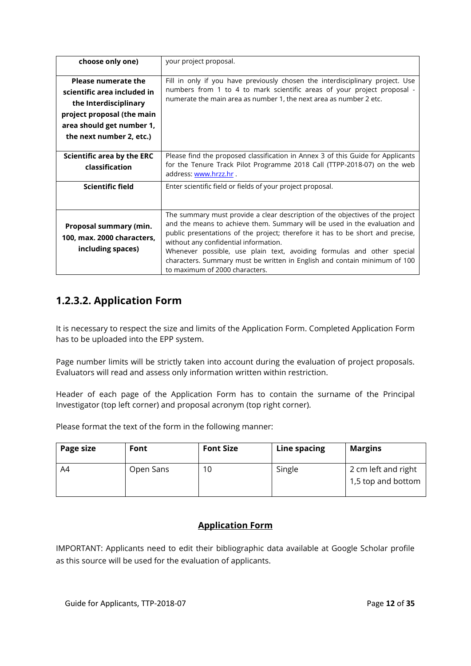| choose only one)                                                                                                                                                          | your project proposal.                                                                                                                                                                                                                                                                                                                                                                                                                                                         |
|---------------------------------------------------------------------------------------------------------------------------------------------------------------------------|--------------------------------------------------------------------------------------------------------------------------------------------------------------------------------------------------------------------------------------------------------------------------------------------------------------------------------------------------------------------------------------------------------------------------------------------------------------------------------|
| <b>Please numerate the</b><br>scientific area included in<br>the Interdisciplinary<br>project proposal (the main<br>area should get number 1,<br>the next number 2, etc.) | Fill in only if you have previously chosen the interdisciplinary project. Use<br>numbers from 1 to 4 to mark scientific areas of your project proposal -<br>numerate the main area as number 1, the next area as number 2 etc.                                                                                                                                                                                                                                                 |
| Scientific area by the ERC<br>classification                                                                                                                              | Please find the proposed classification in Annex 3 of this Guide for Applicants<br>for the Tenure Track Pilot Programme 2018 Call (TTPP-2018-07) on the web<br>address: www.hrzz.hr.                                                                                                                                                                                                                                                                                           |
| <b>Scientific field</b>                                                                                                                                                   | Enter scientific field or fields of your project proposal.                                                                                                                                                                                                                                                                                                                                                                                                                     |
| Proposal summary (min.<br>100, max. 2000 characters,<br>including spaces)                                                                                                 | The summary must provide a clear description of the objectives of the project<br>and the means to achieve them. Summary will be used in the evaluation and<br>public presentations of the project; therefore it has to be short and precise,<br>without any confidential information.<br>Whenever possible, use plain text, avoiding formulas and other special<br>characters. Summary must be written in English and contain minimum of 100<br>to maximum of 2000 characters. |

## <span id="page-11-0"></span>**1.2.3.2. Application Form**

It is necessary to respect the size and limits of the Application Form. Completed Application Form has to be uploaded into the EPP system.

Page number limits will be strictly taken into account during the evaluation of project proposals. Evaluators will read and assess only information written within restriction.

Header of each page of the Application Form has to contain the surname of the Principal Investigator (top left corner) and proposal acronym (top right corner).

Please format the text of the form in the following manner:

| Page size | Font      | <b>Font Size</b> | Line spacing | <b>Margins</b>                            |
|-----------|-----------|------------------|--------------|-------------------------------------------|
| A4        | Open Sans | 10               | Single       | 2 cm left and right<br>1,5 top and bottom |

## **Application Form**

IMPORTANT: Applicants need to edit their bibliographic data available at Google Scholar profile as this source will be used for the evaluation of applicants.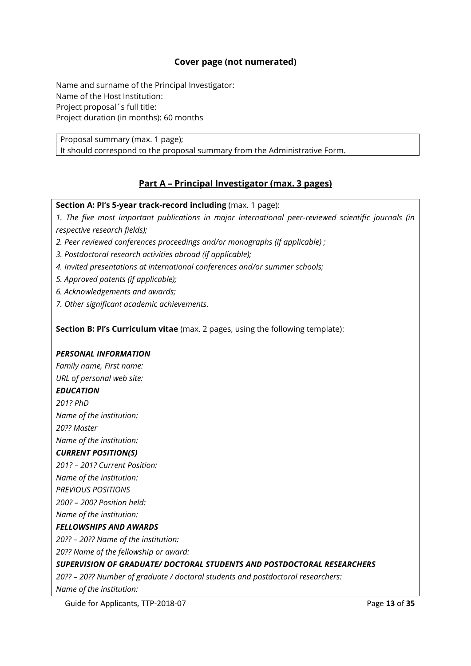## **Cover page (not numerated)**

Name and surname of the Principal Investigator: Name of the Host Institution: Project proposal´s full title: Project duration (in months): 60 months

Proposal summary (max. 1 page); It should correspond to the proposal summary from the Administrative Form.

## **Part A – Principal Investigator (max. 3 pages)**

**Section A: PI's 5-year track-record including** (max. 1 page):

*1. The five most important publications in major international peer-reviewed scientific journals (in respective research fields);* 

- *2. Peer reviewed conferences proceedings and/or monographs (if applicable) ;*
- *3. Postdoctoral research activities abroad (if applicable);*
- *4. Invited presentations at international conferences and/or summer schools;*
- *5. Approved patents (if applicable);*
- *6. Acknowledgements and awards;*
- *7. Other significant academic achievements.*

**Section B: PI's Curriculum vitae** (max. 2 pages, using the following template):

#### *PERSONAL INFORMATION*

*Family name, First name: URL of personal web site: EDUCATION 201? PhD Name of the institution: 20?? Master Name of the institution: CURRENT POSITION(S) 201? – 201? Current Position: Name of the institution: PREVIOUS POSITIONS 200? – 200? Position held: Name of the institution: FELLOWSHIPS AND AWARDS 20?? – 20?? Name of the institution: 20?? Name of the fellowship or award: SUPERVISION OF GRADUATE/ DOCTORAL STUDENTS AND POSTDOCTORAL RESEARCHERS 20?? – 20?? Number of graduate / doctoral students and postdoctoral researchers: Name of the institution:*

Guide for Applicants, TTP-2018-07 **Page 13** of **35** Page 13 of **35**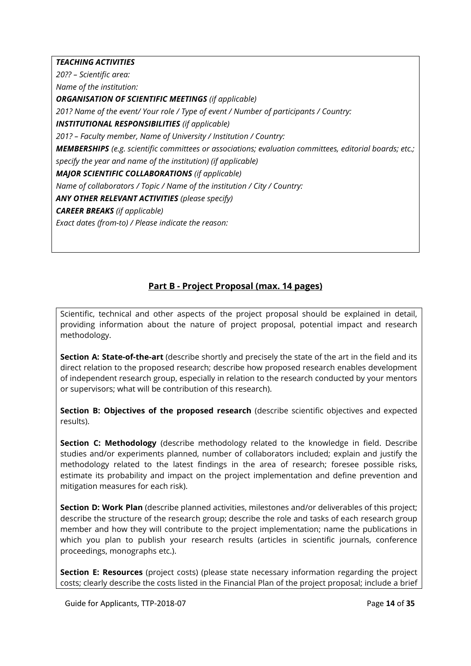*TEACHING ACTIVITIES* 

*20?? – Scientific area:*

*Name of the institution:*

*ORGANISATION OF SCIENTIFIC MEETINGS (if applicable)*

*201? Name of the event/ Your role / Type of event / Number of participants / Country:*

*INSTITUTIONAL RESPONSIBILITIES (if applicable)*

*201? – Faculty member, Name of University / Institution / Country:*

*MEMBERSHIPS (e.g. scientific committees or associations; evaluation committees, editorial boards; etc.; specify the year and name of the institution) (if applicable)*

*MAJOR SCIENTIFIC COLLABORATIONS (if applicable)*

*Name of collaborators / Topic / Name of the institution / City / Country:*

*ANY OTHER RELEVANT ACTIVITIES (please specify)*

*CAREER BREAKS (if applicable)*

*Exact dates (from-to) / Please indicate the reason:*

## **Part B - Project Proposal (max. 14 pages)**

Scientific, technical and other aspects of the project proposal should be explained in detail, providing information about the nature of project proposal, potential impact and research methodology.

**Section A: State-of-the-art** (describe shortly and precisely the state of the art in the field and its direct relation to the proposed research; describe how proposed research enables development of independent research group, especially in relation to the research conducted by your mentors or supervisors; what will be contribution of this research).

**Section B: Objectives of the proposed research** (describe scientific objectives and expected results).

**Section C: Methodology** (describe methodology related to the knowledge in field. Describe studies and/or experiments planned, number of collaborators included; explain and justify the methodology related to the latest findings in the area of research; foresee possible risks, estimate its probability and impact on the project implementation and define prevention and mitigation measures for each risk).

**Section D: Work Plan** (describe planned activities, milestones and/or deliverables of this project; describe the structure of the research group; describe the role and tasks of each research group member and how they will contribute to the project implementation; name the publications in which you plan to publish your research results (articles in scientific journals, conference proceedings, monographs etc.).

**Section E: Resources** (project costs) (please state necessary information regarding the project costs; clearly describe the costs listed in the Financial Plan of the project proposal; include a brief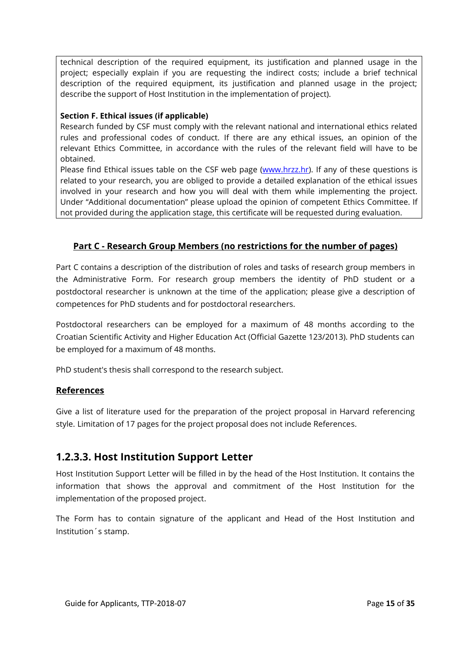technical description of the required equipment, its justification and planned usage in the project; especially explain if you are requesting the indirect costs; include a brief technical description of the required equipment, its justification and planned usage in the project; describe the support of Host Institution in the implementation of project).

#### **Section F. Ethical issues (if applicable)**

Research funded by CSF must comply with the relevant national and international ethics related rules and professional codes of conduct. If there are any ethical issues, an opinion of the relevant Ethics Committee, in accordance with the rules of the relevant field will have to be obtained.

Please find Ethical issues table on the CSF web page [\(www.hrzz.hr\)](http://www.hrzz.hr/). If any of these questions is related to your research, you are obliged to provide a detailed explanation of the ethical issues involved in your research and how you will deal with them while implementing the project. Under "Additional documentation" please upload the opinion of competent Ethics Committee. If not provided during the application stage, this certificate will be requested during evaluation.

## **Part C - Research Group Members (no restrictions for the number of pages)**

Part C contains a description of the distribution of roles and tasks of research group members in the Administrative Form. For research group members the identity of PhD student or a postdoctoral researcher is unknown at the time of the application; please give a description of competences for PhD students and for postdoctoral researchers.

Postdoctoral researchers can be employed for a maximum of 48 months according to the Croatian Scientific Activity and Higher Education Act (Official Gazette 123/2013). PhD students can be employed for a maximum of 48 months.

PhD student's thesis shall correspond to the research subject.

## **References**

Give a list of literature used for the preparation of the project proposal in Harvard referencing style. Limitation of 17 pages for the project proposal does not include References.

## <span id="page-14-0"></span>**1.2.3.3. Host Institution Support Letter**

Host Institution Support Letter will be filled in by the head of the Host Institution. It contains the information that shows the approval and commitment of the Host Institution for the implementation of the proposed project.

The Form has to contain signature of the applicant and Head of the Host Institution and Institution´s stamp.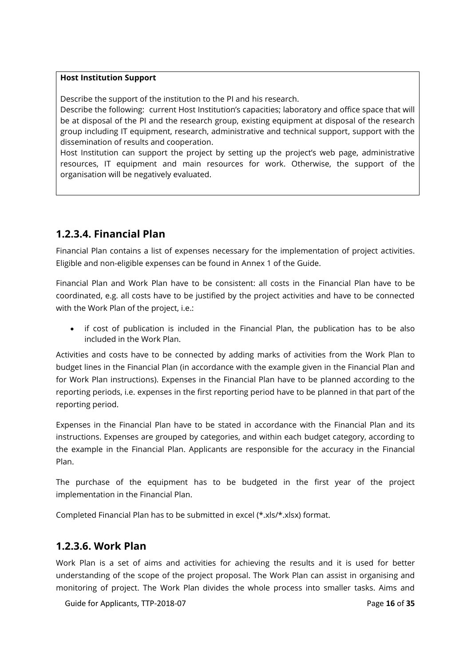#### **Host Institution Support**

Describe the support of the institution to the PI and his research.

Describe the following: current Host Institution's capacities; laboratory and office space that will be at disposal of the PI and the research group, existing equipment at disposal of the research group including IT equipment, research, administrative and technical support, support with the dissemination of results and cooperation.

Host Institution can support the project by setting up the project's web page, administrative resources, IT equipment and main resources for work. Otherwise, the support of the organisation will be negatively evaluated.

## <span id="page-15-0"></span>**1.2.3.4. Financial Plan**

Financial Plan contains a list of expenses necessary for the implementation of project activities. Eligible and non-eligible expenses can be found in Annex 1 of the Guide.

Financial Plan and Work Plan have to be consistent: all costs in the Financial Plan have to be coordinated, e.g. all costs have to be justified by the project activities and have to be connected with the Work Plan of the project, i.e.:

• if cost of publication is included in the Financial Plan, the publication has to be also included in the Work Plan.

Activities and costs have to be connected by adding marks of activities from the Work Plan to budget lines in the Financial Plan (in accordance with the example given in the Financial Plan and for Work Plan instructions). Expenses in the Financial Plan have to be planned according to the reporting periods, i.e. expenses in the first reporting period have to be planned in that part of the reporting period.

Expenses in the Financial Plan have to be stated in accordance with the Financial Plan and its instructions. Expenses are grouped by categories, and within each budget category, according to the example in the Financial Plan. Applicants are responsible for the accuracy in the Financial Plan.

The purchase of the equipment has to be budgeted in the first year of the project implementation in the Financial Plan.

<span id="page-15-1"></span>Completed Financial Plan has to be submitted in excel (\*.xls/\*.xlsx) format.

## **1.2.3.6. Work Plan**

Work Plan is a set of aims and activities for achieving the results and it is used for better understanding of the scope of the project proposal. The Work Plan can assist in organising and monitoring of project. The Work Plan divides the whole process into smaller tasks. Aims and

Guide for Applicants, TTP-2018-07 **Page 16** of **35** Page 16 of **35**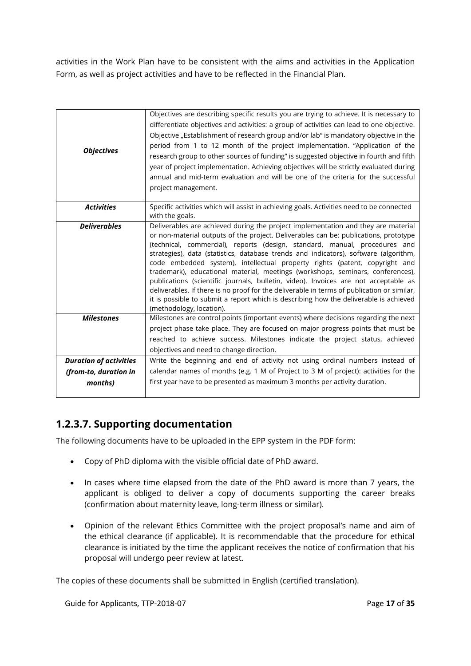activities in the Work Plan have to be consistent with the aims and activities in the Application Form, as well as project activities and have to be reflected in the Financial Plan.

| <b>Objectives</b>             | Objectives are describing specific results you are trying to achieve. It is necessary to<br>differentiate objectives and activities: a group of activities can lead to one objective.<br>Objective "Establishment of research group and/or lab" is mandatory objective in the<br>period from 1 to 12 month of the project implementation. "Application of the<br>research group to other sources of funding" is suggested objective in fourth and fifth<br>year of project implementation. Achieving objectives will be strictly evaluated during<br>annual and mid-term evaluation and will be one of the criteria for the successful<br>project management.                                                                                                                                                             |
|-------------------------------|---------------------------------------------------------------------------------------------------------------------------------------------------------------------------------------------------------------------------------------------------------------------------------------------------------------------------------------------------------------------------------------------------------------------------------------------------------------------------------------------------------------------------------------------------------------------------------------------------------------------------------------------------------------------------------------------------------------------------------------------------------------------------------------------------------------------------|
| <b>Activities</b>             | Specific activities which will assist in achieving goals. Activities need to be connected<br>with the goals.                                                                                                                                                                                                                                                                                                                                                                                                                                                                                                                                                                                                                                                                                                              |
| <b>Deliverables</b>           | Deliverables are achieved during the project implementation and they are material<br>or non-material outputs of the project. Deliverables can be: publications, prototype<br>(technical, commercial), reports (design, standard, manual, procedures and<br>strategies), data (statistics, database trends and indicators), software (algorithm,<br>code embedded system), intellectual property rights (patent, copyright and<br>trademark), educational material, meetings (workshops, seminars, conferences),<br>publications (scientific journals, bulletin, video). Invoices are not acceptable as<br>deliverables. If there is no proof for the deliverable in terms of publication or similar,<br>it is possible to submit a report which is describing how the deliverable is achieved<br>(methodology, location). |
| <b>Milestones</b>             | Milestones are control points (important events) where decisions regarding the next<br>project phase take place. They are focused on major progress points that must be<br>reached to achieve success. Milestones indicate the project status, achieved<br>objectives and need to change direction.                                                                                                                                                                                                                                                                                                                                                                                                                                                                                                                       |
| <b>Duration of activities</b> | Write the beginning and end of activity not using ordinal numbers instead of                                                                                                                                                                                                                                                                                                                                                                                                                                                                                                                                                                                                                                                                                                                                              |
| (from-to, duration in         | calendar names of months (e.g. 1 M of Project to 3 M of project): activities for the                                                                                                                                                                                                                                                                                                                                                                                                                                                                                                                                                                                                                                                                                                                                      |
| months)                       | first year have to be presented as maximum 3 months per activity duration.                                                                                                                                                                                                                                                                                                                                                                                                                                                                                                                                                                                                                                                                                                                                                |

## <span id="page-16-0"></span>**1.2.3.7. Supporting documentation**

The following documents have to be uploaded in the EPP system in the PDF form:

- Copy of PhD diploma with the visible official date of PhD award.
- In cases where time elapsed from the date of the PhD award is more than 7 years, the applicant is obliged to deliver a copy of documents supporting the career breaks (confirmation about maternity leave, long-term illness or similar).
- Opinion of the relevant Ethics Committee with the project proposal's name and aim of the ethical clearance (if applicable). It is recommendable that the procedure for ethical clearance is initiated by the time the applicant receives the notice of confirmation that his proposal will undergo peer review at latest.

The copies of these documents shall be submitted in English (certified translation).

Guide for Applicants, TTP-2018-07 **Page 17** of **35** Page 17 of **35**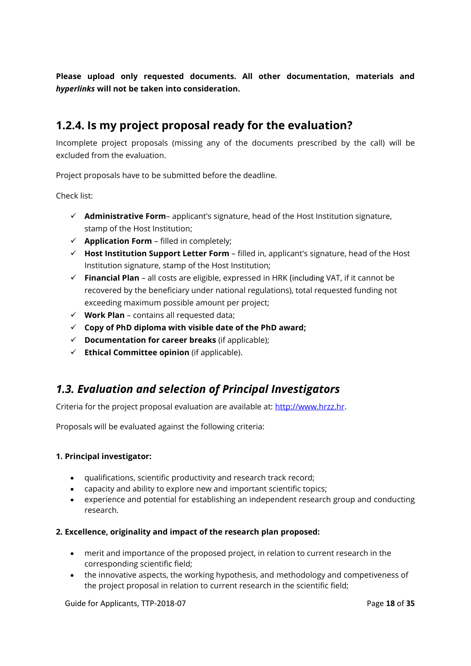**Please upload only requested documents. All other documentation, materials and**  *hyperlinks* **will not be taken into consideration.**

## <span id="page-17-0"></span>**1.2.4. Is my project proposal ready for the evaluation?**

Incomplete project proposals (missing any of the documents prescribed by the call) will be excluded from the evaluation.

Project proposals have to be submitted before the deadline.

Check list:

- **Administrative Form** applicant's signature, head of the Host Institution signature, stamp of the Host Institution;
- $\checkmark$  **Application Form** filled in completely;
- **Host Institution Support Letter Form** filled in, applicant's signature, head of the Host Institution signature, stamp of the Host Institution;
- **Financial Plan** all costs are eligible, expressed in HRK (including VAT, if it cannot be recovered by the beneficiary under national regulations), total requested funding not exceeding maximum possible amount per project;
- $\checkmark$  **Work Plan** contains all requested data;
- **Copy of PhD diploma with visible date of the PhD award;**
- **Documentation for career breaks** (if applicable);
- **Ethical Committee opinion** (if applicable).

## <span id="page-17-1"></span>*1.3. Evaluation and selection of Principal Investigators*

Criteria for the project proposal evaluation are available at: [http://www.hrzz.hr.](http://www.hrzz.hr/)

Proposals will be evaluated against the following criteria:

#### **1. Principal investigator:**

- qualifications, scientific productivity and research track record;
- capacity and ability to explore new and important scientific topics;
- experience and potential for establishing an independent research group and conducting research.

#### **2. Excellence, originality and impact of the research plan proposed:**

- merit and importance of the proposed project, in relation to current research in the corresponding scientific field;
- the innovative aspects, the working hypothesis, and methodology and competiveness of the project proposal in relation to current research in the scientific field;

Guide for Applicants, TTP-2018-07 **Page 18** of **35** Page 18 of **35**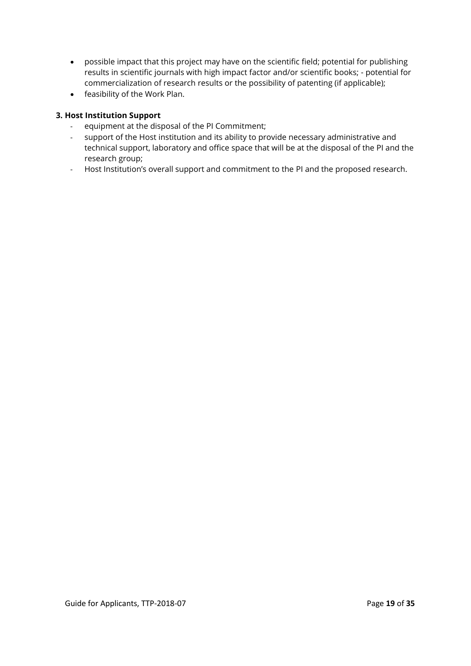- possible impact that this project may have on the scientific field; potential for publishing results in scientific journals with high impact factor and/or scientific books; - potential for commercialization of research results or the possibility of patenting (if applicable);
- feasibility of the Work Plan.

#### **3. Host Institution Support**

- equipment at the disposal of the PI Commitment;
- support of the Host institution and its ability to provide necessary administrative and technical support, laboratory and office space that will be at the disposal of the PI and the research group;
- Host Institution's overall support and commitment to the PI and the proposed research.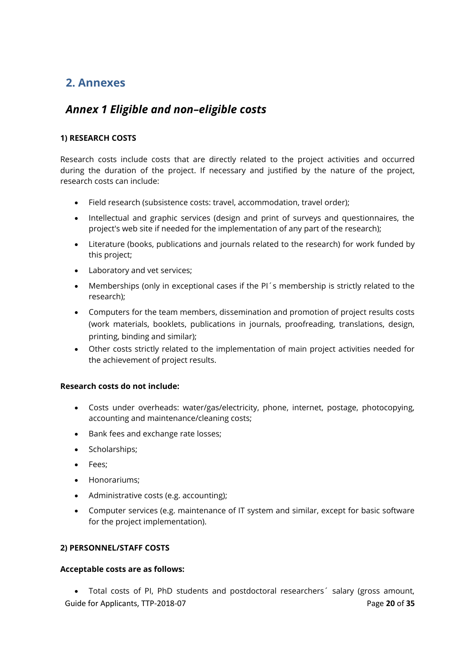## <span id="page-19-0"></span>**2. Annexes**

## <span id="page-19-1"></span>*Annex 1 Eligible and non–eligible costs*

## **1) RESEARCH COSTS**

Research costs include costs that are directly related to the project activities and occurred during the duration of the project. If necessary and justified by the nature of the project, research costs can include:

- Field research (subsistence costs: travel, accommodation, travel order);
- Intellectual and graphic services (design and print of surveys and questionnaires, the project's web site if needed for the implementation of any part of the research);
- Literature (books, publications and journals related to the research) for work funded by this project;
- Laboratory and vet services;
- Memberships (only in exceptional cases if the PI<sup>'</sup>s membership is strictly related to the research);
- Computers for the team members, dissemination and promotion of project results costs (work materials, booklets, publications in journals, proofreading, translations, design, printing, binding and similar);
- Other costs strictly related to the implementation of main project activities needed for the achievement of project results.

#### **Research costs do not include:**

- Costs under overheads: water/gas/electricity, phone, internet, postage, photocopying, accounting and maintenance/cleaning costs;
- Bank fees and exchange rate losses;
- Scholarships;
- Fees:
- Honorariums;
- Administrative costs (e.g. accounting);
- Computer services (e.g. maintenance of IT system and similar, except for basic software for the project implementation).

#### **2) PERSONNEL/STAFF COSTS**

#### **Acceptable costs are as follows:**

Guide for Applicants, TTP-2018-07 **Page 20** of **35** Page 20 of **35** Total costs of PI, PhD students and postdoctoral researchers´ salary (gross amount,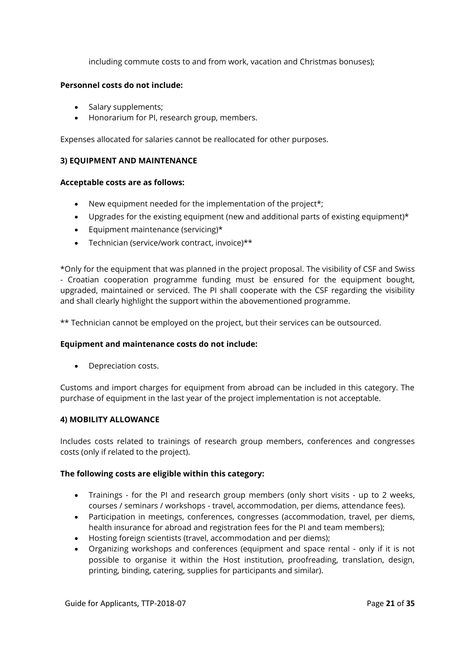including commute costs to and from work, vacation and Christmas bonuses);

#### **Personnel costs do not include:**

- Salary supplements;
- Honorarium for PI, research group, members.

Expenses allocated for salaries cannot be reallocated for other purposes.

#### **3) EQUIPMENT AND MAINTENANCE**

#### **Acceptable costs are as follows:**

- New equipment needed for the implementation of the project<sup>\*</sup>;
- Upgrades for the existing equipment (new and additional parts of existing equipment)\*
- $\bullet$  Equipment maintenance (servicing)\*
- Technician (service/work contract, invoice)\*\*

\*Only for the equipment that was planned in the project proposal. The visibility of CSF and Swiss - Croatian cooperation programme funding must be ensured for the equipment bought, upgraded, maintained or serviced. The PI shall cooperate with the CSF regarding the visibility and shall clearly highlight the support within the abovementioned programme.

\*\* Technician cannot be employed on the project, but their services can be outsourced.

#### **Equipment and maintenance costs do not include:**

• Depreciation costs.

Customs and import charges for equipment from abroad can be included in this category. The purchase of equipment in the last year of the project implementation is not acceptable.

#### **4) MOBILITY ALLOWANCE**

Includes costs related to trainings of research group members, conferences and congresses costs (only if related to the project).

#### **The following costs are eligible within this category:**

- Trainings for the PI and research group members (only short visits up to 2 weeks, courses / seminars / workshops - travel, accommodation, per diems, attendance fees).
- Participation in meetings, conferences, congresses (accommodation, travel, per diems, health insurance for abroad and registration fees for the PI and team members);
- Hosting foreign scientists (travel, accommodation and per diems);
- Organizing workshops and conferences (equipment and space rental only if it is not possible to organise it within the Host institution, proofreading, translation, design, printing, binding, catering, supplies for participants and similar).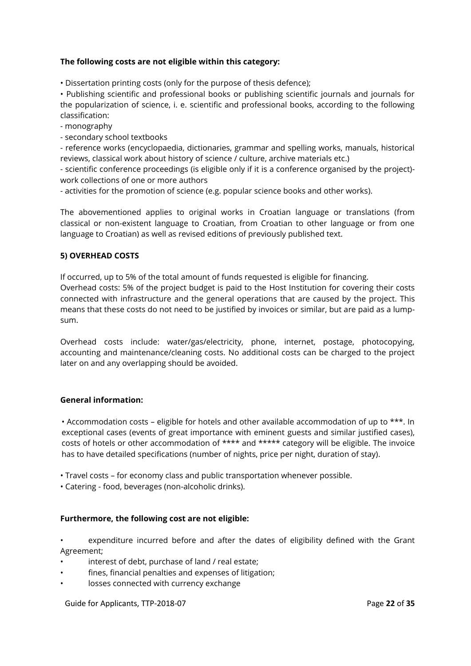#### **The following costs are not eligible within this category:**

• Dissertation printing costs (only for the purpose of thesis defence);

• Publishing scientific and professional books or publishing scientific journals and journals for the popularization of science, i. e. scientific and professional books, according to the following classification:

- monography

- secondary school textbooks

- reference works (encyclopaedia, dictionaries, grammar and spelling works, manuals, historical reviews, classical work about history of science / culture, archive materials etc.)

- scientific conference proceedings (is eligible only if it is a conference organised by the project) work collections of one or more authors

- activities for the promotion of science (e.g. popular science books and other works).

The abovementioned applies to original works in Croatian language or translations (from classical or non-existent language to Croatian, from Croatian to other language or from one language to Croatian) as well as revised editions of previously published text.

#### **5) OVERHEAD COSTS**

If occurred, up to 5% of the total amount of funds requested is eligible for financing.

Overhead costs: 5% of the project budget is paid to the Host Institution for covering their costs connected with infrastructure and the general operations that are caused by the project. This means that these costs do not need to be justified by invoices or similar, but are paid as a lumpsum.

Overhead costs include: water/gas/electricity, phone, internet, postage, photocopying, accounting and maintenance/cleaning costs. No additional costs can be charged to the project later on and any overlapping should be avoided.

#### **General information:**

• Accommodation costs – eligible for hotels and other available accommodation of up to \*\*\*. In exceptional cases (events of great importance with eminent guests and similar justified cases), costs of hotels or other accommodation of \*\*\*\* and \*\*\*\*\* category will be eligible. The invoice has to have detailed specifications (number of nights, price per night, duration of stay).

• Travel costs – for economy class and public transportation whenever possible.

• Catering - food, beverages (non-alcoholic drinks).

#### **Furthermore, the following cost are not eligible:**

• expenditure incurred before and after the dates of eligibility defined with the Grant Agreement;

- interest of debt, purchase of land / real estate;
- fines, financial penalties and expenses of litigation;
- losses connected with currency exchange

Guide for Applicants, TTP-2018-07 **Page 22** of **35** Page 22 of **35**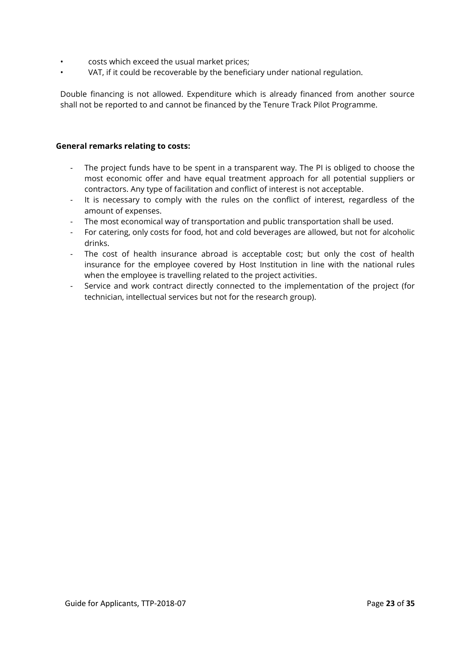- costs which exceed the usual market prices;
- VAT, if it could be recoverable by the beneficiary under national regulation.

Double financing is not allowed. Expenditure which is already financed from another source shall not be reported to and cannot be financed by the Tenure Track Pilot Programme.

#### **General remarks relating to costs:**

- The project funds have to be spent in a transparent way. The PI is obliged to choose the most economic offer and have equal treatment approach for all potential suppliers or contractors. Any type of facilitation and conflict of interest is not acceptable.
- It is necessary to comply with the rules on the conflict of interest, regardless of the amount of expenses.
- The most economical way of transportation and public transportation shall be used.
- For catering, only costs for food, hot and cold beverages are allowed, but not for alcoholic drinks.
- The cost of health insurance abroad is acceptable cost; but only the cost of health insurance for the employee covered by Host Institution in line with the national rules when the employee is travelling related to the project activities.
- Service and work contract directly connected to the implementation of the project (for technician, intellectual services but not for the research group).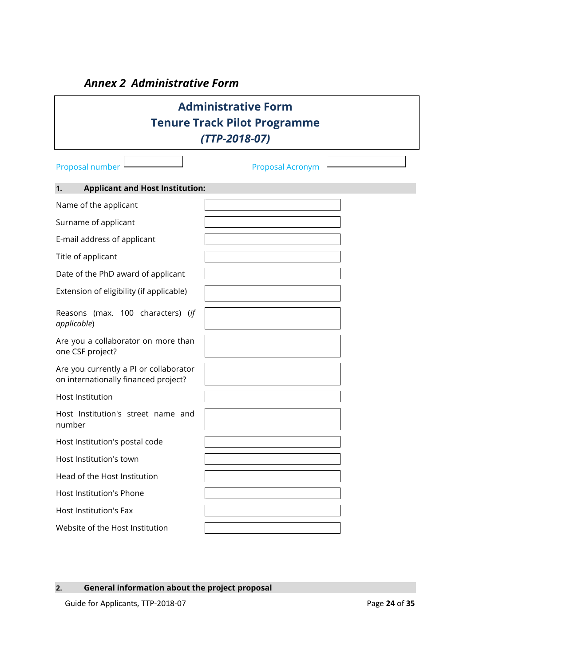## *Annex 2 Administrative Form*

<span id="page-23-0"></span>

|                                                                                | <b>Administrative Form</b><br><b>Tenure Track Pilot Programme</b><br>$(TTP-2018-07)$ |  |
|--------------------------------------------------------------------------------|--------------------------------------------------------------------------------------|--|
| Proposal number                                                                | Proposal Acronym                                                                     |  |
| <b>Applicant and Host Institution:</b><br>1.                                   |                                                                                      |  |
| Name of the applicant                                                          |                                                                                      |  |
| Surname of applicant                                                           |                                                                                      |  |
| E-mail address of applicant                                                    |                                                                                      |  |
| Title of applicant                                                             |                                                                                      |  |
| Date of the PhD award of applicant                                             |                                                                                      |  |
| Extension of eligibility (if applicable)                                       |                                                                                      |  |
| Reasons (max. 100 characters) (if<br>applicable)                               |                                                                                      |  |
| Are you a collaborator on more than<br>one CSF project?                        |                                                                                      |  |
| Are you currently a PI or collaborator<br>on internationally financed project? |                                                                                      |  |
| <b>Host Institution</b>                                                        |                                                                                      |  |
| Host Institution's street name and<br>number                                   |                                                                                      |  |
| Host Institution's postal code                                                 |                                                                                      |  |
| Host Institution's town                                                        |                                                                                      |  |
| Head of the Host Institution                                                   |                                                                                      |  |
| Host Institution's Phone                                                       |                                                                                      |  |
| Host Institution's Fax                                                         |                                                                                      |  |
| Website of the Host Institution                                                |                                                                                      |  |

 $\overline{\mathbb{I}}$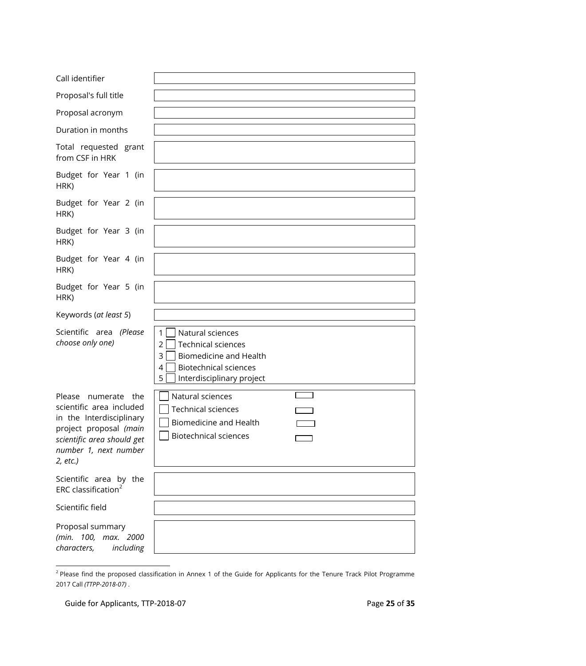| Call identifier                                                                                                                                                             |                                                                                                                                                                                              |
|-----------------------------------------------------------------------------------------------------------------------------------------------------------------------------|----------------------------------------------------------------------------------------------------------------------------------------------------------------------------------------------|
| Proposal's full title                                                                                                                                                       |                                                                                                                                                                                              |
| Proposal acronym                                                                                                                                                            |                                                                                                                                                                                              |
| Duration in months                                                                                                                                                          |                                                                                                                                                                                              |
| Total requested grant<br>from CSF in HRK                                                                                                                                    |                                                                                                                                                                                              |
| Budget for Year 1 (in<br>HRK)                                                                                                                                               |                                                                                                                                                                                              |
| Budget for Year 2 (in<br>HRK)                                                                                                                                               |                                                                                                                                                                                              |
| Budget for Year 3 (in<br>HRK)                                                                                                                                               |                                                                                                                                                                                              |
| Budget for Year 4 (in<br>HRK)                                                                                                                                               |                                                                                                                                                                                              |
| Budget for Year 5 (in<br>HRK)                                                                                                                                               |                                                                                                                                                                                              |
| Keywords (at least 5)                                                                                                                                                       |                                                                                                                                                                                              |
| Scientific area (Please<br>choose only one)                                                                                                                                 | $\mathbf{1}$<br>Natural sciences<br>$\overline{2}$<br><b>Technical sciences</b><br>3<br><b>Biomedicine and Health</b><br><b>Biotechnical sciences</b><br>4<br>5<br>Interdisciplinary project |
| Please<br>numerate the<br>scientific area included<br>in the Interdisciplinary<br>project proposal (main<br>scientific area should get<br>number 1, next number<br>2, etc.) | Natural sciences<br><b>Technical sciences</b><br><b>Biomedicine and Health</b><br><b>Biotechnical sciences</b>                                                                               |
| Scientific area by the<br>ERC classification <sup>2</sup>                                                                                                                   |                                                                                                                                                                                              |
| Scientific field                                                                                                                                                            |                                                                                                                                                                                              |
| Proposal summary<br>(min. 100, max. 2000<br>characters,<br>including                                                                                                        |                                                                                                                                                                                              |

 2 Please find the proposed classification in Annex 1 of the Guide for Applicants for the Tenure Track Pilot Programme 2017 Call *(TTPP-2018-07)* .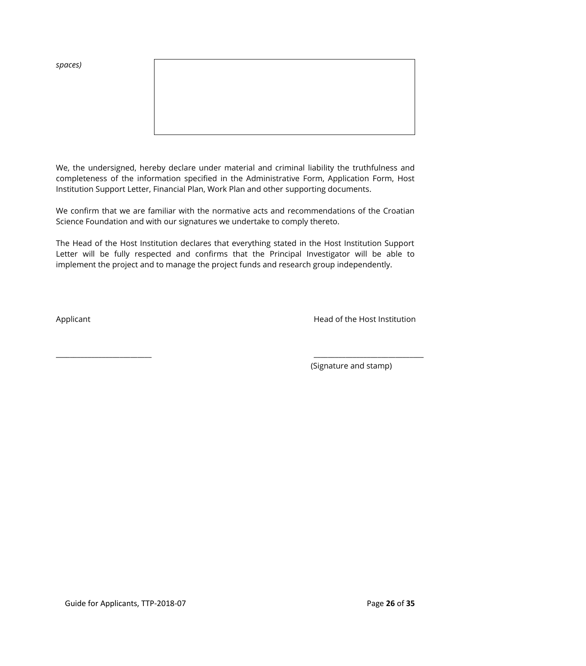*spaces)*



We, the undersigned, hereby declare under material and criminal liability the truthfulness and completeness of the information specified in the Administrative Form, Application Form, Host Institution Support Letter, Financial Plan, Work Plan and other supporting documents.

We confirm that we are familiar with the normative acts and recommendations of the Croatian Science Foundation and with our signatures we undertake to comply thereto.

The Head of the Host Institution declares that everything stated in the Host Institution Support Letter will be fully respected and confirms that the Principal Investigator will be able to implement the project and to manage the project funds and research group independently.

Applicant

\_\_\_\_\_\_\_\_\_\_\_\_\_\_\_\_\_\_\_\_\_\_\_\_\_\_\_

Head of the Host Institution

\_\_\_\_\_\_\_\_\_\_\_\_\_\_\_\_\_\_\_\_\_\_\_\_\_\_\_\_\_\_\_

(Signature and stamp)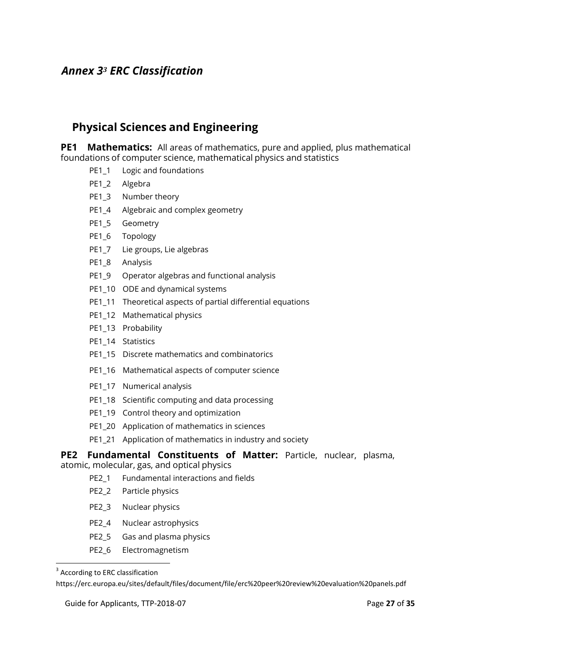## <span id="page-26-0"></span>*Annex 3<sup>3</sup> ERC Classification*

## **Physical Sciences and Engineering**

**PE1 Mathematics:** All areas of mathematics, pure and applied, plus mathematical foundations of computer science, mathematical physics and statistics

- PE1\_1 Logic and foundations
- PE1\_2 Algebra
- PE1\_3 Number theory
- PE1\_4 Algebraic and complex geometry
- PE1\_5 Geometry
- PE1\_6 Topology
- PE1\_7 Lie groups, Lie algebras
- PE1\_8 Analysis
- PE1\_9 Operator algebras and functional analysis
- PE1\_10 ODE and dynamical systems
- PE1\_11 Theoretical aspects of partial differential equations
- PE1\_12 Mathematical physics
- PE1\_13 Probability
- PE1\_14 Statistics
- PE1\_15 Discrete mathematics and combinatorics
- PE1\_16 Mathematical aspects of computer science
- PE1\_17 Numerical analysis
- PE1\_18 Scientific computing and data processing
- PE1\_19 Control theory and optimization
- PE1\_20 Application of mathematics in sciences
- PE1\_21 Application of mathematics in industry and society

## **PE2 Fundamental Constituents of Matter:** Particle, nuclear, plasma,

atomic, molecular, gas, and optical physics

- PE2\_1 Fundamental interactions and fields
- PE2\_2 Particle physics
- PE2\_3 Nuclear physics
- PE2\_4 Nuclear astrophysics
- PE2\_5 Gas and plasma physics
- PE2\_6 Electromagnetism

https://erc.europa.eu/sites/default/files/document/file/erc%20peer%20review%20evaluation%20panels.pdf

 3 According to ERC classification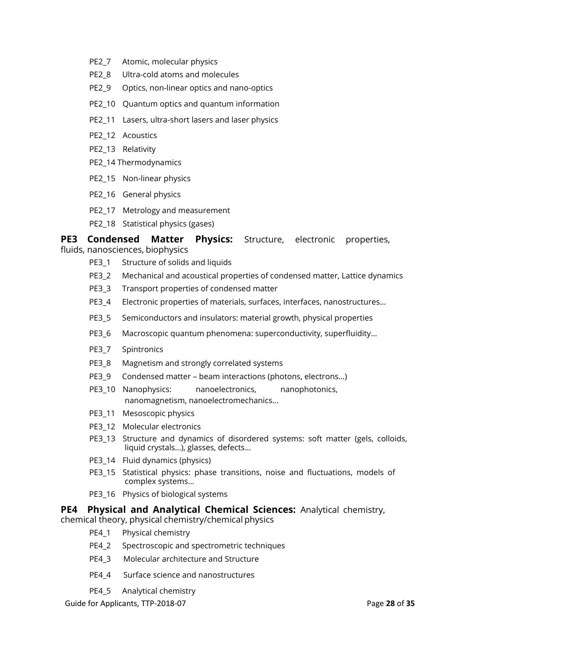- PE2\_7 Atomic, molecular physics
- PE2\_8 Ultra-cold atoms and molecules
- PE2\_9 Optics, non-linear optics and nano-optics
- PE2\_10 Quantum optics and quantum information
- PE2\_11 Lasers, ultra-short lasers and laser physics
- PE2\_12 Acoustics
- PE2\_13 Relativity
- PE2\_14 Thermodynamics
- PE2\_15 Non-linear physics
- PE2\_16 General physics
- PE2\_17 Metrology and measurement
- PE2\_18 Statistical physics (gases)

#### **PE3 Condensed Matter Physics:** Structure, electronic properties,

fluids, nanosciences, biophysics

- PE3\_1 Structure of solids and liquids
- PE3\_2 Mechanical and acoustical properties of condensed matter, Lattice dynamics
- PE3\_3 Transport properties of condensed matter
- PE3\_4 Electronic properties of materials, surfaces, interfaces, nanostructures…
- PE3\_5 Semiconductors and insulators: material growth, physical properties
- PE3\_6 Macroscopic quantum phenomena: superconductivity, superfluidity...
- PE3\_7 Spintronics
- PE3\_8 Magnetism and strongly correlated systems
- PE3\_9 Condensed matter beam interactions (photons, electrons…)
- PE3\_10 Nanophysics: nanoelectronics, nanophotonics, nanomagnetism, nanoelectromechanics…
- PE3\_11 Mesoscopic physics
- PE3\_12 Molecular electronics
- PE3\_13 Structure and dynamics of disordered systems: soft matter (gels, colloids, liquid crystals…), glasses, defects…
- PE3\_14 Fluid dynamics (physics)
- PE3\_15 Statistical physics: phase transitions, noise and fluctuations, models of complex systems…
- PE3\_16 Physics of biological systems

#### **PE4 Physical and Analytical Chemical Sciences:** Analytical chemistry,

chemical theory, physical chemistry/chemical physics

- PE4\_1 Physical chemistry
- PE4\_2 Spectroscopic and spectrometric techniques
- PE4\_3 Molecular architecture and Structure
- PE4\_4 Surface science and nanostructures
- PE4\_5 Analytical chemistry

Guide for Applicants, TTP-2018-07 **Page 28** of **35** Page 28 of **35**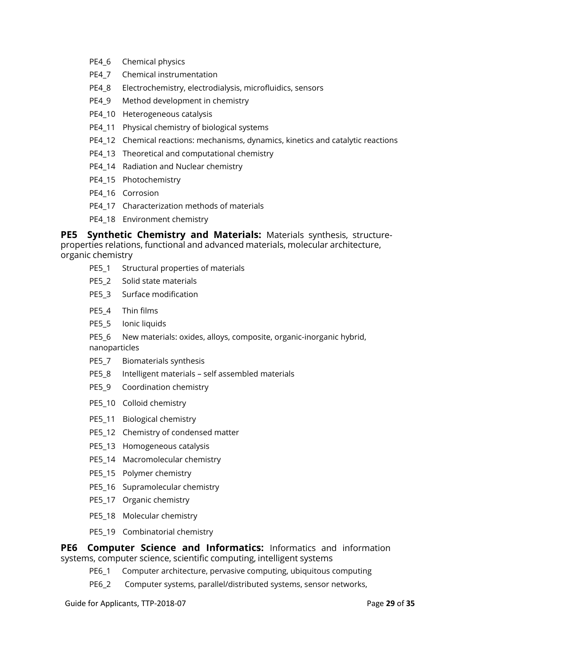- PE4\_6 Chemical physics
- PE4\_7 Chemical instrumentation
- PE4\_8 Electrochemistry, electrodialysis, microfluidics, sensors
- PE4\_9 Method development in chemistry
- PE4\_10 Heterogeneous catalysis
- PE4\_11 Physical chemistry of biological systems
- PE4\_12 Chemical reactions: mechanisms, dynamics, kinetics and catalytic reactions
- PE4\_13 Theoretical and computational chemistry
- PE4\_14 Radiation and Nuclear chemistry
- PE4\_15 Photochemistry
- PE4\_16 Corrosion
- PE4\_17 Characterization methods of materials
- PE4\_18 Environment chemistry

**PE5 Synthetic Chemistry and Materials:** Materials synthesis, structureproperties relations, functional and advanced materials, molecular architecture, organic chemistry

- PE5\_1 Structural properties of materials
- PE5\_2 Solid state materials
- PE5\_3 Surface modification
- PE5\_4 Thin films
- PE5\_5 Ionic liquids

PE5\_6 New materials: oxides, alloys, composite, organic-inorganic hybrid, nanoparticles

- PE5\_7 Biomaterials synthesis
- PE5\_8 Intelligent materials self assembled materials
- PE5\_9 Coordination chemistry
- PE5\_10 Colloid chemistry
- PE5\_11 Biological chemistry
- PE5\_12 Chemistry of condensed matter
- PE5\_13 Homogeneous catalysis
- PE5\_14 Macromolecular chemistry
- PE5\_15 Polymer chemistry
- PE5\_16 Supramolecular chemistry
- PE5\_17 Organic chemistry
- PE5\_18 Molecular chemistry
- PE5\_19 Combinatorial chemistry

**PE6 Computer Science and Informatics:** Informatics and information systems, computer science, scientific computing, intelligent systems

- PE6\_1 Computer architecture, pervasive computing, ubiquitous computing
- PE6\_2 Computer systems, parallel/distributed systems, sensor networks,

Guide for Applicants, TTP-2018-07 **Page 29 of 35** Page 29 of 35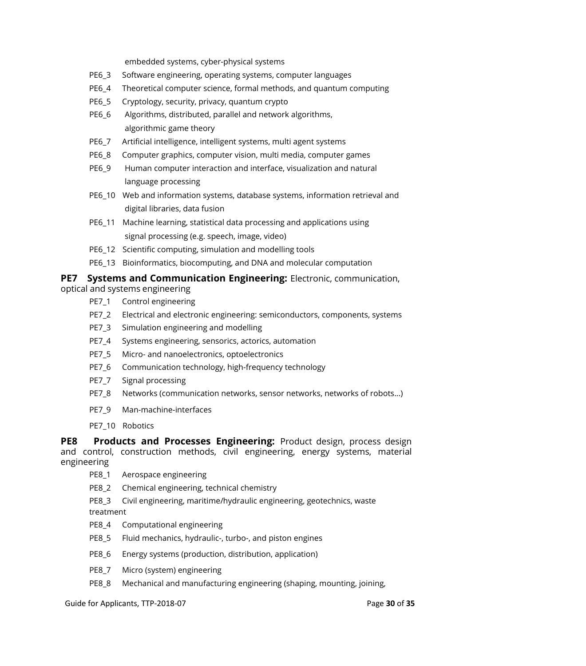embedded systems, cyber-physical systems

- PE6\_3 Software engineering, operating systems, computer languages
- PE6\_4 Theoretical computer science, formal methods, and quantum computing
- PE6\_5 Cryptology, security, privacy, quantum crypto
- PE6\_6 Algorithms, distributed, parallel and network algorithms, algorithmic game theory
- PE6\_7 Artificial intelligence, intelligent systems, multi agent systems
- PE6\_8 Computer graphics, computer vision, multi media, computer games
- PE6\_9 Human computer interaction and interface, visualization and natural language processing
- PE6\_10 Web and information systems, database systems, information retrieval and digital libraries, data fusion
- PE6\_11 Machine learning, statistical data processing and applications using signal processing (e.g. speech, image, video)
- PE6\_12 Scientific computing, simulation and modelling tools
- PE6\_13 Bioinformatics, biocomputing, and DNA and molecular computation

#### **PE7 Systems and Communication Engineering:** Electronic, communication,

- optical and systems engineering
	- PE7\_1 Control engineering
	- PE7\_2 Electrical and electronic engineering: semiconductors, components, systems
	- PE7\_3 Simulation engineering and modelling
	- PE7\_4 Systems engineering, sensorics, actorics, automation
	- PE7\_5 Micro- and nanoelectronics, optoelectronics
	- PE7\_6 Communication technology, high-frequency technology
	- PE7 7 Signal processing
	- PE7\_8 Networks (communication networks, sensor networks, networks of robots...)
	- PE7\_9 Man-machine-interfaces
	- PE7\_10 Robotics

**PE8 Products and Processes Engineering:** Product design, process design and control, construction methods, civil engineering, energy systems, material engineering

- PE8\_1 Aerospace engineering
- PE8\_2 Chemical engineering, technical chemistry

PE8\_3 Civil engineering, maritime/hydraulic engineering, geotechnics, waste treatment

- PE8\_4 Computational engineering
- PE8\_5 Fluid mechanics, hydraulic-, turbo-, and piston engines
- PE8\_6 Energy systems (production, distribution, application)
- PE8\_7 Micro (system) engineering
- PE8\_8 Mechanical and manufacturing engineering (shaping, mounting, joining,

Guide for Applicants, TTP-2018-07 **Page 30** of **35 Page 30** of **35**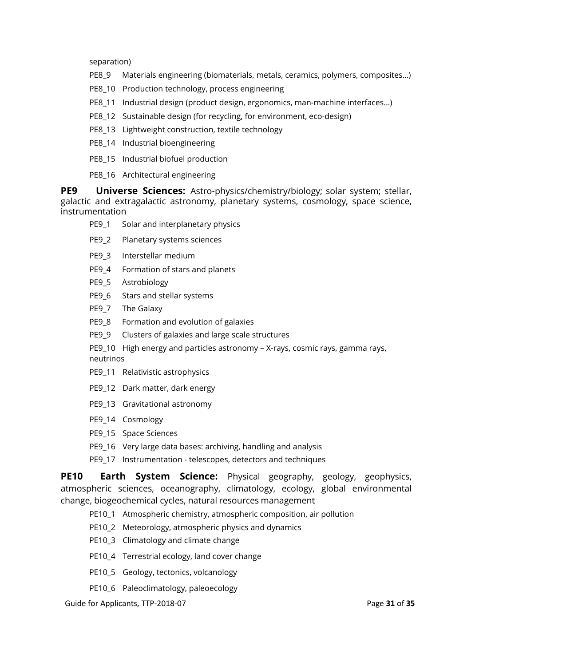separation)

- PE8\_9 Materials engineering (biomaterials, metals, ceramics, polymers, composites…)
- PE8\_10 Production technology, process engineering
- PE8\_11 Industrial design (product design, ergonomics, man-machine interfaces…)
- PE8\_12 Sustainable design (for recycling, for environment, eco-design)
- PE8\_13 Lightweight construction, textile technology
- PE8\_14 Industrial bioengineering
- PE8\_15 Industrial biofuel production
- PE8\_16 Architectural engineering

**PE9 Universe Sciences:** Astro-physics/chemistry/biology; solar system; stellar, galactic and extragalactic astronomy, planetary systems, cosmology, space science, instrumentation

- PE9\_1 Solar and interplanetary physics
- PE9\_2 Planetary systems sciences
- PE9\_3 Interstellar medium
- PE9\_4 Formation of stars and planets
- PE9\_5 Astrobiology
- PE9\_6 Stars and stellar systems
- PE9\_7 The Galaxy
- PE9\_8 Formation and evolution of galaxies
- PE9\_9 Clusters of galaxies and large scale structures
- PE9\_10 High energy and particles astronomy X-rays, cosmic rays, gamma rays,

neutrinos

- PE9\_11 Relativistic astrophysics
- PE9\_12 Dark matter, dark energy
- PE9\_13 Gravitational astronomy
- PE9\_14 Cosmology
- PE9\_15 Space Sciences
- PE9\_16 Very large data bases: archiving, handling and analysis
- PE9\_17 Instrumentation telescopes, detectors and techniques

**PE10 Earth System Science:** Physical geography, geology, geophysics, atmospheric sciences, oceanography, climatology, ecology, global environmental change, biogeochemical cycles, natural resources management

- PE10\_1 Atmospheric chemistry, atmospheric composition, air pollution
- PE10\_2 Meteorology, atmospheric physics and dynamics
- PE10\_3 Climatology and climate change
- PE10\_4 Terrestrial ecology, land cover change
- PE10\_5 Geology, tectonics, volcanology
- PE10\_6 Paleoclimatology, paleoecology

Guide for Applicants, TTP-2018-07 **Page 31** of **35** Page **31** of **35**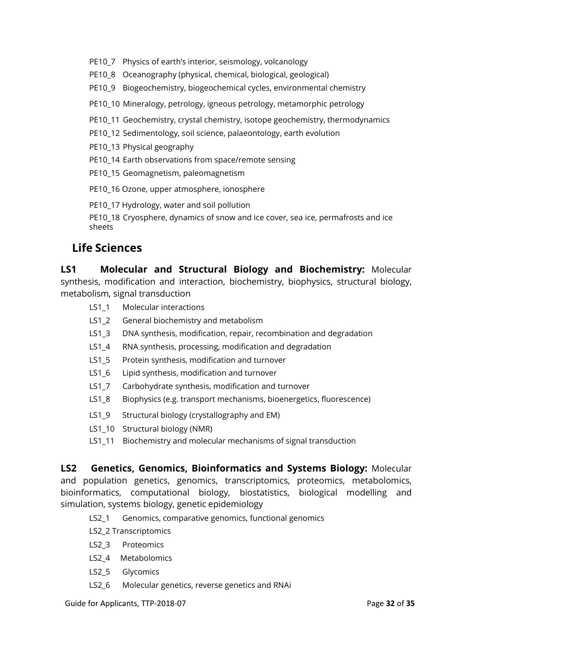- PE10\_7 Physics of earth's interior, seismology, volcanology
- PE10\_8 Oceanography (physical, chemical, biological, geological)
- PE10\_9 Biogeochemistry, biogeochemical cycles, environmental chemistry
- PE10\_10 Mineralogy, petrology, igneous petrology, metamorphic petrology
- PE10\_11 Geochemistry, crystal chemistry, isotope geochemistry, thermodynamics
- PE10\_12 Sedimentology, soil science, palaeontology, earth evolution
- PE10\_13 Physical geography
- PE10\_14 Earth observations from space/remote sensing
- PE10\_15 Geomagnetism, paleomagnetism
- PE10\_16 Ozone, upper atmosphere, ionosphere
- PE10\_17 Hydrology, water and soil pollution
- PE10\_18 Cryosphere, dynamics of snow and ice cover, sea ice, permafrosts and ice sheets

## **Life Sciences**

**LS1 Molecular and Structural Biology and Biochemistry:** Molecular synthesis, modification and interaction, biochemistry, biophysics, structural biology, metabolism, signal transduction

- LS1\_1 Molecular interactions
- LS1\_2 General biochemistry and metabolism
- LS1\_3 DNA synthesis, modification, repair, recombination and degradation
- LS1\_4 RNA synthesis, processing, modification and degradation
- LS1\_5 Protein synthesis, modification and turnover
- LS1\_6 Lipid synthesis, modification and turnover
- LS1\_7 Carbohydrate synthesis, modification and turnover
- LS1\_8 Biophysics (e.g. transport mechanisms, bioenergetics, fluorescence)
- LS1\_9 Structural biology (crystallography and EM)
- LS1\_10 Structural biology (NMR)
- LS1\_11 Biochemistry and molecular mechanisms of signal transduction

**LS2 Genetics, Genomics, Bioinformatics and Systems Biology:** Molecular and population genetics, genomics, transcriptomics, proteomics, metabolomics, bioinformatics, computational biology, biostatistics, biological modelling and simulation, systems biology, genetic epidemiology

- LS2\_1 Genomics, comparative genomics, functional genomics
- LS2\_2 Transcriptomics
- LS2\_3 Proteomics
- LS2 4 Metabolomics
- LS2\_5 Glycomics
- LS2\_6 Molecular genetics, reverse genetics and RNAi

Guide for Applicants, TTP-2018-07 **Page 32** of **35 Page 32** of **35**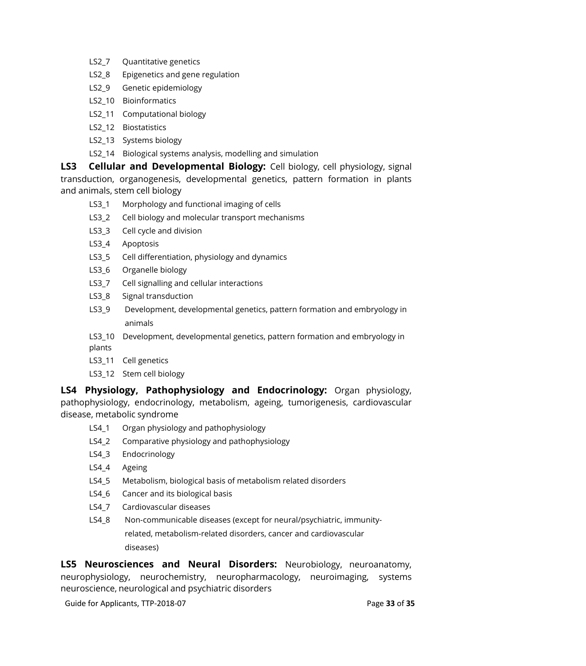- LS2\_7 Quantitative genetics
- LS2 8 Epigenetics and gene regulation
- LS2\_9 Genetic epidemiology
- LS2 10 Bioinformatics
- LS2\_11 Computational biology
- LS2\_12 Biostatistics
- LS2\_13 Systems biology
- LS2\_14 Biological systems analysis, modelling and simulation

**LS3 Cellular and Developmental Biology:** Cell biology, cell physiology, signal transduction, organogenesis, developmental genetics, pattern formation in plants and animals, stem cell biology

- LS3\_1 Morphology and functional imaging of cells
- LS3\_2 Cell biology and molecular transport mechanisms
- LS3 3 Cell cycle and division
- LS3 4 Apoptosis
- LS3\_5 Cell differentiation, physiology and dynamics
- LS3 6 Organelle biology
- LS3 7 Cell signalling and cellular interactions
- LS3\_8 Signal transduction
- LS3\_9 Development, developmental genetics, pattern formation and embryology in animals
- LS3\_10 Development, developmental genetics, pattern formation and embryology in plants
- LS3\_11 Cell genetics
- LS3\_12 Stem cell biology

**LS4 Physiology, Pathophysiology and Endocrinology:** Organ physiology, pathophysiology, endocrinology, metabolism, ageing, tumorigenesis, cardiovascular disease, metabolic syndrome

- LS4\_1 Organ physiology and pathophysiology
- LS4\_2 Comparative physiology and pathophysiology
- LS4\_3 Endocrinology
- LS4\_4 Ageing
- LS4 5 Metabolism, biological basis of metabolism related disorders
- LS4 6 Cancer and its biological basis
- LS4 7 Cardiovascular diseases
- LS4\_8 Non-communicable diseases (except for neural/psychiatric, immunityrelated, metabolism-related disorders, cancer and cardiovascular diseases)

**LS5 Neurosciences and Neural Disorders:** Neurobiology, neuroanatomy, neurophysiology, neurochemistry, neuropharmacology, neuroimaging, systems neuroscience, neurological and psychiatric disorders

Guide for Applicants, TTP-2018-07 **Page 33** of **35** Page 33 of **35**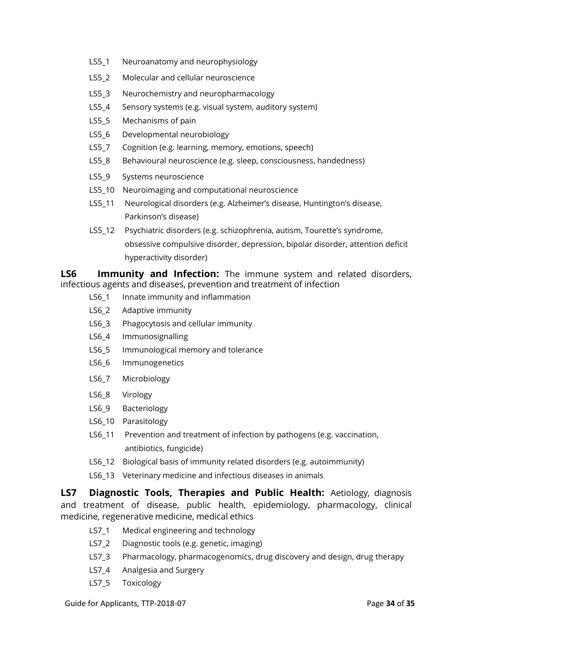- LS5\_1 Neuroanatomy and neurophysiology
- LS5 2 Molecular and cellular neuroscience
- LS5\_3 Neurochemistry and neuropharmacology
- LS5\_4 Sensory systems (e.g. visual system, auditory system)
- LS5 5 Mechanisms of pain
- LS5 6 Developmental neurobiology
- LS5\_7 Cognition (e.g. learning, memory, emotions, speech)
- LS5 8 Behavioural neuroscience (e.g. sleep, consciousness, handedness)
- LS5\_9 Systems neuroscience
- LS5\_10 Neuroimaging and computational neuroscience
- LS5\_11 Neurological disorders (e.g. Alzheimer's disease, Huntington's disease, Parkinson's disease)
- LS5\_12 Psychiatric disorders (e.g. schizophrenia, autism, Tourette's syndrome, obsessive compulsive disorder, depression, bipolar disorder, attention deficit hyperactivity disorder)

**LS6 Immunity and Infection:** The immune system and related disorders, infectious agents and diseases, prevention and treatment of infection

- LS6\_1 Innate immunity and inflammation
- LS6<sub>2</sub> Adaptive immunity
- LS6 3 Phagocytosis and cellular immunity
- LS6\_4 Immunosignalling
- LS6\_5 Immunological memory and tolerance
- LS6\_6 Immunogenetics
- LS6\_7 Microbiology
- LS6\_8 Virology
- LS6<sub>9</sub> Bacteriology
- LS6\_10 Parasitology
- LS6\_11 Prevention and treatment of infection by pathogens (e.g. vaccination, antibiotics, fungicide)
- LS6\_12 Biological basis of immunity related disorders (e.g. autoimmunity)
- LS6 13 Veterinary medicine and infectious diseases in animals

**LS7 Diagnostic Tools, Therapies and Public Health:** Aetiology, diagnosis and treatment of disease, public health, epidemiology, pharmacology, clinical medicine, regenerative medicine, medical ethics

- LS7\_1 Medical engineering and technology
- LS7<sub>2</sub> Diagnostic tools (e.g. genetic, imaging)
- LS7\_3 Pharmacology, pharmacogenomics, drug discovery and design, drug therapy
- LS7 4 Analgesia and Surgery
- LS7\_5 Toxicology